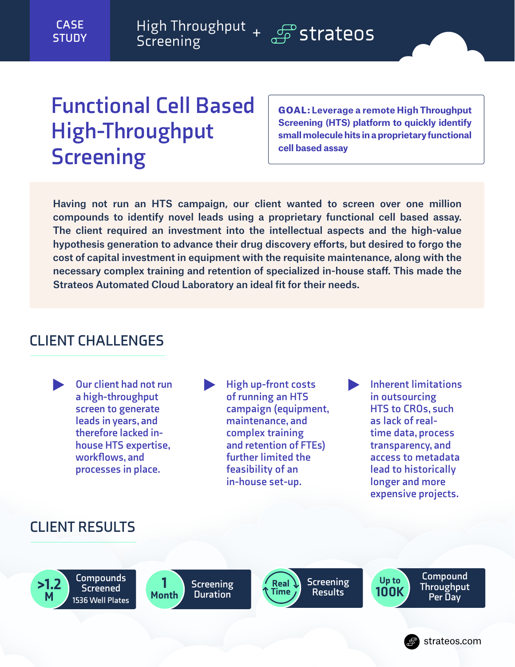## **Functional Cell Based High-Throughput Screening**

GOAL: **Leverage a remote High Throughput Screening (HTS) platform to quickly identify small molecule hits in a proprietary functional cell based assay**

Having not run an HTS campaign, our client wanted to screen over one million compounds to identify novel leads using a proprietary functional cell based assay. The client required an investment into the intellectual aspects and the high-value hypothesis generation to advance their drug discovery efforts, but desired to forgo the cost of capital investment in equipment with the requisite maintenance, along with the necessary complex training and retention of specialized in-house staff. This made the Strateos Automated Cloud Laboratory an ideal fit for their needs.

## **CLIENT CHALLENGES**



## **CLIENT RESULTS**

**Compounds Screened 1536 Well Plates** >1.2 M





**100K** Screening<br>Results **100K Results**

Up to

**Compound Throughput Per Day**